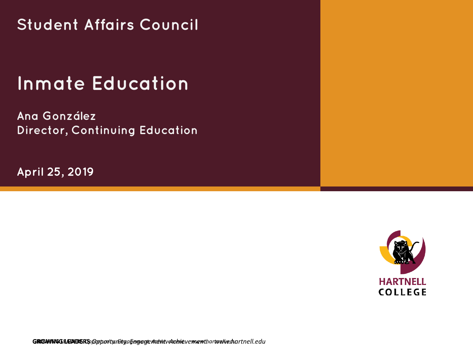**Student Affairs Council**

## **Inmate Education**

**Ana González Director, Continuing Education**

**April 25, 2019**



**GROWING LEADERS GROWING LEADERS** *Opportunity. Engagement. Achievement. Opportunity. Engagement. Achievement. www.hartnell.edu www.hartnell.edu*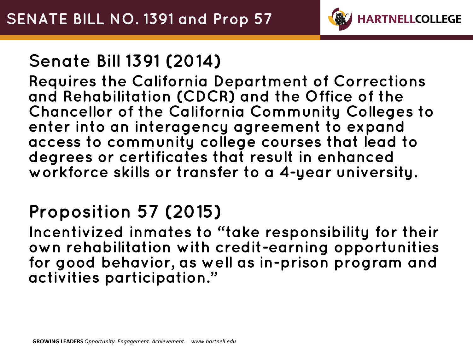

## **Senate Bill 1391 (2014)**

**Requires the California Department of Corrections and Rehabilitation (CDCR) and the Office of the Chancellor of the California Community Colleges to enter into an interagency agreement to expand access to community college courses that lead to degrees or certificates that result in enhanced workforce skills or transfer to a 4-year university.** 

## **Proposition 57 (2015)**

**Incentivized inmates to "take responsibility for their own rehabilitation with credit-earning opportunities for good behavior, as well as in-prison program and activities participation."**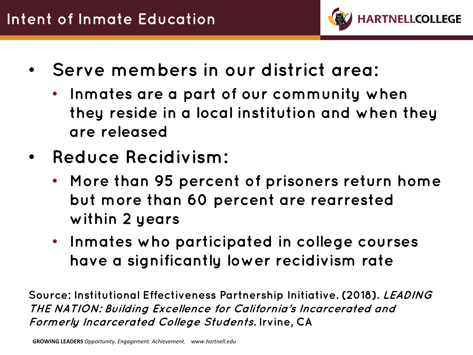

- **Serve members in our district area:** 
	- **Inmates are a part of our community when they reside in a local institution and when they are released**
- **Reduce Recidivism:**
	- **More than 95 percent of prisoners return home but more than 60 percent are rearrested within 2 years**
	- **Inmates who participated in college courses have a significantly lower recidivism rate**

**Source: Institutional Effectiveness Partnership Initiative. (2018). LEADING THE NATION: Building Excellence for California's Incarcerated and Formerly Incarcerated College Students. Irvine, CA**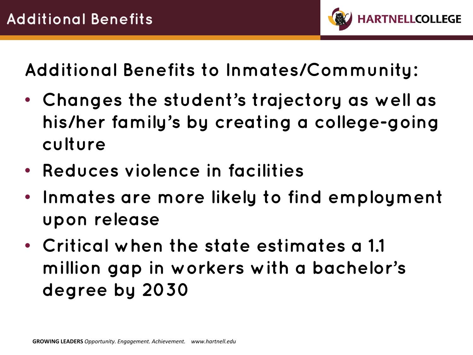

**Additional Benefits to Inmates/Community:**

- **Changes the student's trajectory as well as his/her family's by creating a college-going culture**
- **Reduces violence in facilities**
- **Inmates are more likely to find employment upon release**
- **Critical when the state estimates a 1.1 million gap in workers with a bachelor's degree by 2030**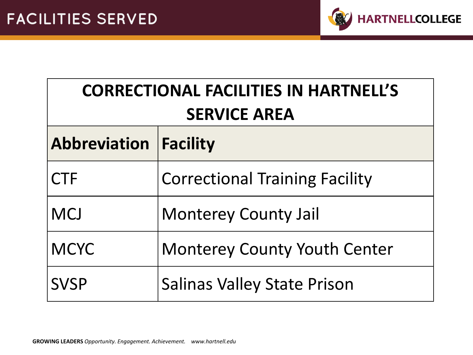

| <b>CORRECTIONAL FACILITIES IN HARTNELL'S</b><br><b>SERVICE AREA</b> |                                       |  |
|---------------------------------------------------------------------|---------------------------------------|--|
| <b>Abbreviation Facility</b>                                        |                                       |  |
| <b>CTF</b>                                                          | <b>Correctional Training Facility</b> |  |
| <b>MCJ</b>                                                          | <b>Monterey County Jail</b>           |  |
| <b>MCYC</b>                                                         | <b>Monterey County Youth Center</b>   |  |
| <b>SVSP</b>                                                         | <b>Salinas Valley State Prison</b>    |  |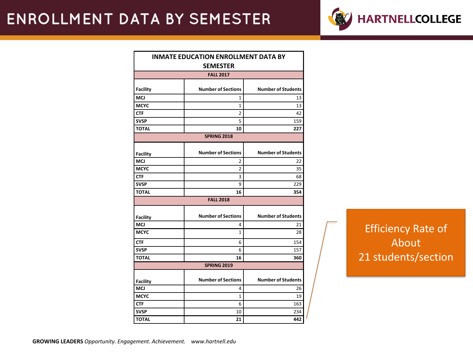

|                  | <b>INMATE EDUCATION ENROLLMENT DATA BY</b> |                           |  |
|------------------|--------------------------------------------|---------------------------|--|
|                  | <b>SEMESTER</b>                            |                           |  |
| <b>FALL 2017</b> |                                            |                           |  |
|                  |                                            |                           |  |
| <b>Facility</b>  | <b>Number of Sections</b>                  | <b>Number of Students</b> |  |
| <b>MCJ</b>       | 1                                          | 13                        |  |
| <b>MCYC</b>      | 1                                          | 13                        |  |
| <b>CTF</b>       | 2                                          | 42                        |  |
| <b>SVSP</b>      | 5                                          | 159                       |  |
| <b>TOTAL</b>     | 10                                         | 227                       |  |
|                  | <b>SPRING 2018</b>                         |                           |  |
| <b>Facility</b>  | <b>Number of Sections</b>                  | <b>Number of Students</b> |  |
| <b>MCJ</b>       | 2                                          | 22                        |  |
| <b>MCYC</b>      | 2                                          | 35                        |  |
| <b>CTF</b>       | 3                                          | 68                        |  |
| <b>SVSP</b>      | 9                                          | 229                       |  |
| <b>TOTAL</b>     | 16                                         | 354                       |  |
|                  | <b>FALL 2018</b>                           |                           |  |
| <b>Facility</b>  | <b>Number of Sections</b>                  | <b>Number of Students</b> |  |
| <b>MCJ</b>       | 4                                          | 21                        |  |
| <b>MCYC</b>      | $\mathbf{1}$                               | 28                        |  |
| <b>CTF</b>       | 6                                          | 154                       |  |
| <b>SVSP</b>      | 6                                          | 157                       |  |
| <b>TOTAL</b>     | 16                                         | 360                       |  |
|                  | <b>SPRING 2019</b>                         |                           |  |
|                  |                                            |                           |  |
| <b>Facility</b>  | <b>Number of Sections</b>                  | <b>Number of Students</b> |  |
| <b>MCJ</b>       | 4                                          | 26                        |  |
| <b>MCYC</b>      | 1                                          | 19                        |  |
| <b>CTF</b>       | 6                                          | 163                       |  |
| <b>SVSP</b>      | 10                                         | 234                       |  |
| <b>TOTAL</b>     | 21                                         | 442                       |  |

Efficiency Rate of About 21 students/section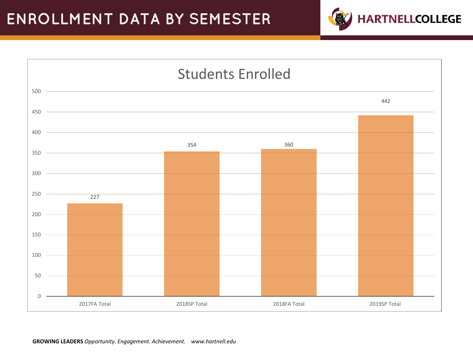

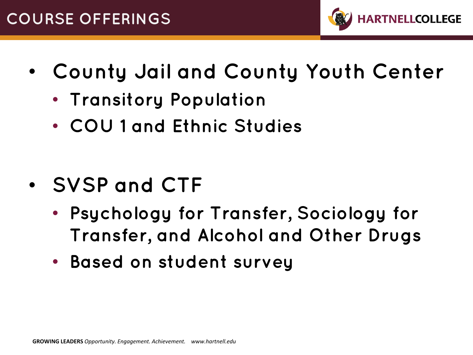

- **County Jail and County Youth Center**
	- **Transitory Population**
	- **COU 1 and Ethnic Studies**

- **SVSP and CTF**
	- **Psychology for Transfer, Sociology for Transfer, and Alcohol and Other Drugs**
	- **Based on student survey**